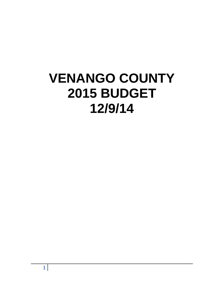# **VENANGO COUNTY 2015 BUDGET 12/9/14**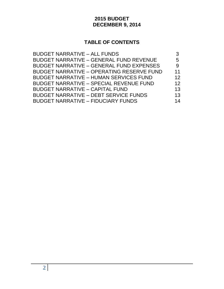# **2015 BUDGET DECEMBER 9, 2014**

# **TABLE OF CONTENTS**

| <b>BUDGET NARRATIVE - ALL FUNDS</b>              |    |
|--------------------------------------------------|----|
| <b>BUDGET NARRATIVE - GENERAL FUND REVENUE</b>   | 5  |
| <b>BUDGET NARRATIVE - GENERAL FUND EXPENSES</b>  | 9  |
| <b>BUDGET NARRATIVE - OPERATING RESERVE FUND</b> | 11 |
| <b>BUDGET NARRATIVE - HUMAN SERVICES FUND</b>    | 12 |
| <b>BUDGET NARRATIVE - SPECIAL REVENUE FUND</b>   | 12 |
| <b>BUDGET NARRATIVE - CAPITAL FUND</b>           | 13 |
| <b>BUDGET NARRATIVE - DEBT SERVICE FUNDS</b>     | 13 |
| <b>BUDGET NARRATIVE - FIDUCIARY FUNDS</b>        | 14 |
|                                                  |    |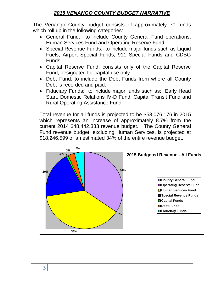# *2015 VENANGO COUNTY BUDGET NARRATIVE*

The Venango County budget consists of approximately 70 funds which roll up in the following categories:

- General Fund: to include County General Fund operations, Human Services Fund and Operating Reserve Fund.
- Special Revenue Funds: to include major funds such as Liquid Fuels, Airport Special Funds, 911 Special Funds and CDBG Funds.
- Capital Reserve Fund: consists only of the Capital Reserve Fund, designated for capital use only.
- Debt Fund: to include the Debt Funds from where all County Debt is recorded and paid.
- Fiduciary Funds: to include major funds such as: Early Head Start, Domestic Relations IV-D Fund, Capital Transit Fund and Rural Operating Assistance Fund.

Total revenue for all funds is projected to be \$53,076,176 in 2015 which represents an increase of approximately 8.7% from the current 2014 \$48,442,333 revenue budget. The County General Fund revenue budget, excluding Human Services, is projected at \$18,246,599 or an estimated 34% of the entire revenue budget.

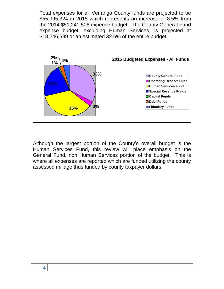Total expenses for all Venango County funds are projected to be \$55,995,324 in 2015 which represents an increase of 8.5% from the 2014 \$51,241,506 expense budget. The County General Fund expense budget, excluding Human Services, is projected at \$18,246,599 or an estimated 32.6% of the entire budget.



Although the largest portion of the County's overall budget is the Human Services Fund, this review will place emphasis on the General Fund, non Human Services portion of the budget. This is where all expenses are reported which are funded utilizing the county assessed millage thus funded by county taxpayer dollars.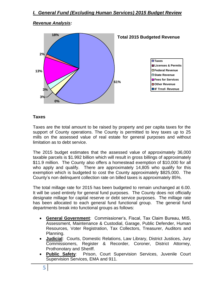#### *Revenue Analysis:*



#### **Taxes**

Taxes are the total amount to be raised by property and per capita taxes for the support of County operations. The County is permitted to levy taxes up to 25 mills on the assessed value of real estate for general purposes and without limitation as to debt service.

The 2015 budget estimates that the assessed value of approximately 36,000 taxable parcels is \$1.992 billion which will result in gross billings of approximately \$11.9 million. The County also offers a homestead exemption of \$10,000 for all who apply and qualify. There are approximately 14,805 who qualify for this exemption which is budgeted to cost the County approximately \$825,000. The County's non delinquent collection rate on billed taxes is approximately 85%.

The total millage rate for 2015 has been budgeted to remain unchanged at 6.00. It will be used entirely for general fund purposes. The County does not officially designate millage for capital reserve or debt service purposes. The millage rate has been allocated to each general fund functional group. The general fund departments break into functional groups as follows:

- **General Government**: Commissioner's, Fiscal, Tax Claim Bureau, MIS, Assessment, Maintenance & Custodial, Garage, Public Defender, Human Resources, Voter Registration, Tax Collectors, Treasurer, Auditors and Planning.
- **Judicial**: Courts, Domestic Relations, Law Library, District Justices, Jury Commissioners, Register & Recorder, Coroner, District Attorney, Prothonotary and Sheriff.
- **Public Safety**: Prison, Court Supervision Services, Juvenile Court Supervision Services, EMA and 911.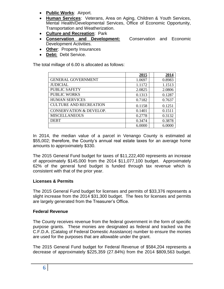- **Public Works**: Airport.
- **Human Services**: Veterans, Area on Aging, Children & Youth Services, Mental Health/Developmental Services, Office of Economic Opportunity, Transportation and Weatherization.
- **Culture and Recreation**: Park
- **Conservation and Development:** Conservation and Economic Development Activities.
- **Other**: Property Insurances
- **Debt:** Debt Service.

The total millage of 6.00 is allocated as follows:

|                                    | 2015   | 2014   |
|------------------------------------|--------|--------|
| <b>GENERAL GOVERNMENT</b>          | 1.0697 | 0.8983 |
| <b>JUDICIAL</b>                    | 1.1172 | 1.1513 |
| <b>PUBLIC SAFETY</b>               | 2.0825 | 2.0806 |
| <b>PUBLIC WORKS</b>                | 0.1313 | 0.1287 |
| <b>HUMAN SERVICES</b>              | 0.7182 | 0.7637 |
| <b>CULTURE AND RECREATION</b>      | 0.1158 | 0.1251 |
| <b>CONSERVATION &amp; DEVELOP.</b> | 0.1401 | 0.1511 |
| <b>MISCELLANEOUS</b>               | 0.2778 | 0.3132 |
| <b>DEBT</b>                        | 0.3474 | 0.3878 |
|                                    | 6.0000 | 6.0000 |

In 2014, the median value of a parcel in Venango County is estimated at \$55,002; therefore, the County's annual real estate taxes for an average home amounts to approximately \$330.

The 2015 General Fund budget for taxes of \$11,222,400 represents an increase of approximately \$145,000 from the 2014 \$11,077,100 budget. Approximately 62% of the general fund budget is funded through tax revenue which is consistent with that of the prior year.

#### **Licenses & Permits**

The 2015 General Fund budget for licenses and permits of \$33,376 represents a slight increase from the 2014 \$31,300 budget. The fees for licenses and permits are largely generated from the Treasurer's Office.

#### **Federal Revenue**

The County receives revenue from the federal government in the form of specific purpose grants. These monies are designated as federal and tracked via the C.F.D.A. (Catalog of Federal Domestic Assistance) number to ensure the monies are used for the purposes that are allowable under the grant.

The 2015 General Fund budget for Federal Revenue of \$584,204 represents a decrease of approximately \$225,359 (27.84%) from the 2014 \$809,563 budget.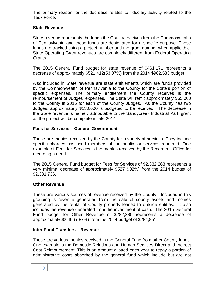The primary reason for the decrease relates to fiduciary activity related to the Task Force.

## **State Revenue**

State revenue represents the funds the County receives from the Commonwealth of Pennsylvania and these funds are designated for a specific purpose. These funds are tracked using a project number and the grant number when applicable. State Operating Grant revenues are completely different from Federal Operating Grants.

The 2015 General Fund budget for state revenue of \$461,171 represents a decrease of approximately \$521,412(53.07%) from the 2014 \$982,583 budget.

Also included in State revenue are state entitlements which are funds provided by the Commonwealth of Pennsylvania to the County for the State's portion of specific expenses. The primary entitlement the County receives is the reimbursement of Judges' expenses. The State will remit approximately \$65,000 to the County in 2015 for each of the County Judges. As the County has two Judges, approximately \$130,000 is budgeted to be received. The decrease in the State revenue is namely attributable to the Sandycreek Industrial Park grant as the project will be complete in late 2014.

# **Fees for Services – General Government**

These are monies received by the County for a variety of services. They include specific charges assessed members of the public for services rendered. One example of Fees for Services is the monies received by the Recorder's Office for recording a deed.

The 2015 General Fund budget for Fees for Services of \$2,332,263 represents a very minimal decrease of approximately \$527 (.02%) from the 2014 budget of \$2,331,736.

# **Other Revenue**

These are various sources of revenue received by the County. Included in this grouping is revenue generated from the sale of county assets and monies generated by the rental of County property leased to outside entities. It also includes the revenue generated from the investment of cash. The 2015 General Fund budget for Other Revenue of \$282,385 represents a decrease of approximately \$2,466 (.87%) from the 2014 budget of \$284,851.

# **Inter Fund Transfers – Revenue**

These are various monies received in the General Fund from other County funds. One example is the Domestic Relations and Human Services Direct and Indirect Cost Reimbursement. This is an amount allotted each year to repay a portion of administrative costs absorbed by the general fund which include but are not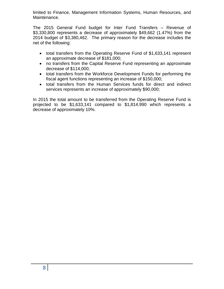limited to Finance, Management Information Systems, Human Resources, and Maintenance.

The 2015 General Fund budget for Inter Fund Transfers – Revenue of \$3,330,800 represents a decrease of approximately \$49,662 (1.47%) from the 2014 budget of \$3,380,462. The primary reason for the decrease includes the net of the following:

- total transfers from the Operating Reserve Fund of \$1,633,141 represent an approximate decrease of \$181,000;
- no transfers from the Capital Reserve Fund representing an approximate decrease of \$114,000;
- total transfers from the Workforce Development Funds for performing the fiscal agent functions representing an increase of \$150,000;
- total transfers from the Human Services funds for direct and indirect services represents an increase of approximately \$90,000;

In 2015 the total amount to be transferred from the Operating Reserve Fund is projected to be \$1,633,141 compared to \$1,814,990 which represents a decrease of approximately 10%.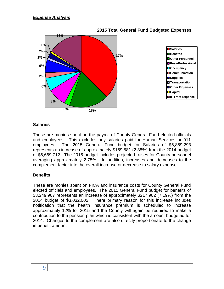

#### **2015 Total General Fund Budgeted Expenses**

#### **Salaries**

These are monies spent on the payroll of County General Fund elected officials and employees. This excludes any salaries paid for Human Services or 911 employees. The 2015 General Fund budget for Salaries of \$6,859,293 represents an increase of approximately \$159,581 (2.38%) from the 2014 budget of \$6,669,712. The 2015 budget includes projected raises for County personnel averaging approximately 2.75%. In addition, increases and decreases to the complement factor into the overall increase or decrease to salary expense.

#### **Benefits**

These are monies spent on FICA and insurance costs for County General Fund elected officials and employees. The 2015 General Fund budget for benefits of \$3,249,907 represents an increase of approximately \$217,902 (7.19%) from the 2014 budget of \$3,032,005. There primary reason for this increase includes notification that the health insurance premium is scheduled to increase approximately 12% for 2015 and the County will again be required to make a contribution to the pension plan which is consistent with the amount budgeted for 2014. Changes to the complement are also directly proportionate to the change in benefit amount.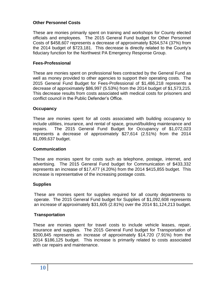# **Other Personnel Costs**

These are monies primarily spent on training and workshops for County elected officials and employees. The 2015 General Fund budget for Other Personnel Costs of \$458,607 represents a decrease of approximately \$264,574 (37%) from the 2014 budget of \$723,181. This decrease is directly related to the County's fiduciary function for the Northwest PA Emergency Response Group.

#### **Fees-Professional**

These are monies spent on professional fees contracted by the General Fund as well as money provided to other agencies to support their operating costs. The 2015 General Fund Budget for Fees-Professional of \$1,486,218 represents a decrease of approximately \$86,997 (5.53%) from the 2014 budget of \$1,573,215. This decrease results from costs associated with medical costs for prisoners and conflict council in the Public Defender's Office.

#### **Occupancy**

These are monies spent for all costs associated with building occupancy to include utilities, insurance, and rental of space, ground/building maintenance and repairs. The 2015 General Fund Budget for Occupancy of \$1,072,023 represents a decrease of approximately \$27,614 (2.51%) from the 2014 \$1,099,637 budget.

#### **Communication**

These are monies spent for costs such as telephone, postage, internet, and advertising. The 2015 General Fund budget for Communication of \$433,332 represents an increase of \$17,477 (4.20%) from the 2014 \$415,855 budget. This increase is representative of the increasing postage costs.

#### **Supplies**

These are monies spent for supplies required for all county departments to operate. The 2015 General Fund budget for Supplies of \$1,092,608 represents an increase of approximately \$31,605 (2.81%) over the 2014 \$1,124,213 budget.

#### **Transportation**

These are monies spent for travel costs to include vehicle leases, repair, insurance and supplies. The 2015 General Fund budget for Transportation of \$200,845 represents an increase of approximately \$14,720 (7.91%) from the 2014 \$186,125 budget. This increase is primarily related to costs associated with car repairs and maintenance.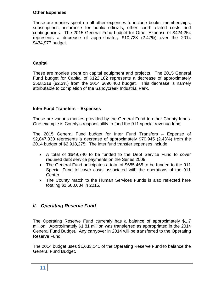#### **Other Expenses**

These are monies spent on all other expenses to include books, memberships, subscriptions, insurance for public officials, other court related costs and contingencies. The 2015 General Fund budget for Other Expense of \$424,254 represents a decrease of approximately \$10,723 (2.47%) over the 2014 \$434,977 budget.

### **Capital**

These are monies spent on capital equipment and projects. The 2015 General Fund budget for Capital of \$122,182 represents a decrease of approximately \$568,218 (82.3%) from the 2014 \$690,400 budget. This decrease is namely attributable to completion of the Sandycreek Industrial Park.

#### **Inter Fund Transfers – Expenses**

These are various monies provided by the General Fund to other County funds. One example is County's responsibility to fund the 911 special revenue fund.

The 2015 General Fund budget for Inter Fund Transfers – Expense of \$2,847,330 represents a decrease of approximately \$70,945 (2.43%) from the 2014 budget of \$2,918,275. The inter fund transfer expenses include:

- A total of \$649,740 to be funded to the Debt Service Fund to cover required debt service payments on the Series 2009.
- The General Fund anticipates a total of \$685,465 to be funded to the 911 Special Fund to cover costs associated with the operations of the 911 Center.
- The County match to the Human Services Funds is also reflected here totaling \$1,508,634 in 2015.

# *II. Operating Reserve Fund*

The Operating Reserve Fund currently has a balance of approximately \$1.7 million. Approximately \$1.81 million was transferred as appropriated in the 2014 General Fund Budget. Any carryover in 2014 will be transferred to the Operating Reserve Fund.

The 2014 budget uses \$1,633,141 of the Operating Reserve Fund to balance the General Fund Budget.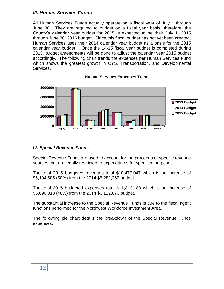# *III. Human Services Funds*

All Human Services Funds actually operate on a fiscal year of July 1 through June 30. They are required to budget on a fiscal year basis; therefore, the County's calendar year budget for 2015 is expected to be their July 1, 2015 through June 30, 2016 budget. Since this fiscal budget has not yet been created, Human Services uses their 2014 calendar year budget as a basis for the 2015 calendar year budget. Once the 14-15 fiscal year budget is completed during 2015, budget amendments will be done to adjust the calendar year 2015 budget accordingly. The following chart trends the expenses per Human Services Fund which shows the greatest growth in CYS, Transportation, and Developmental Services.



#### **Human Services Expenses Trend**

# *IV. Special Revenue Funds*

Special Revenue Funds are used to account for the proceeds of specific revenue sources that are legally restricted to expenditures for specified purposes.

The total 2015 budgeted revenues total \$10,477,047 which is an increase of \$5,194,685 (50%) from the 2014 \$5,282,362 budget.

The total 2015 budgeted expenses total \$11,813,188 which is an increase of \$5,690,318 (48%) from the 2014 \$6,122,870 budget.

The substantial increase to the Special Revenue Funds is due to the fiscal agent functions performed for the Northwest Workforce Investment Area.

The following pie chart details the breakdown of the Special Revenue Funds expenses: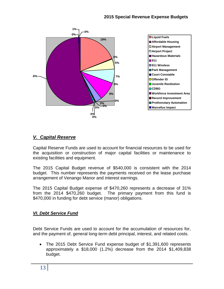

# *V. Capital Reserve*

Capital Reserve Funds are used to account for financial resources to be used for the acquisition or construction of major capital facilities or maintenance to existing facilities and equipment.

The 2015 Capital Budget revenue of \$540,000 is consistent with the 2014 budget. This number represents the payments received on the lease purchase arrangement of Venango Manor and interest earnings.

The 2015 Capital Budget expense of \$470,260 represents a decrease of 31% from the 2014 \$470,260 budget. The primary payment from this fund is \$470,000 in funding for debt service (manor) obligations.

# *VI. Debt Service Fund*

Debt Service Funds are used to account for the accumulation of resources for, and the payment of, general long-term debt principal, interest, and related costs.

 The 2015 Debt Service Fund expense budget of \$1,391,600 represents approximately a \$18,000 (1.2%) decrease from the 2014 \$1,409,838 budget.